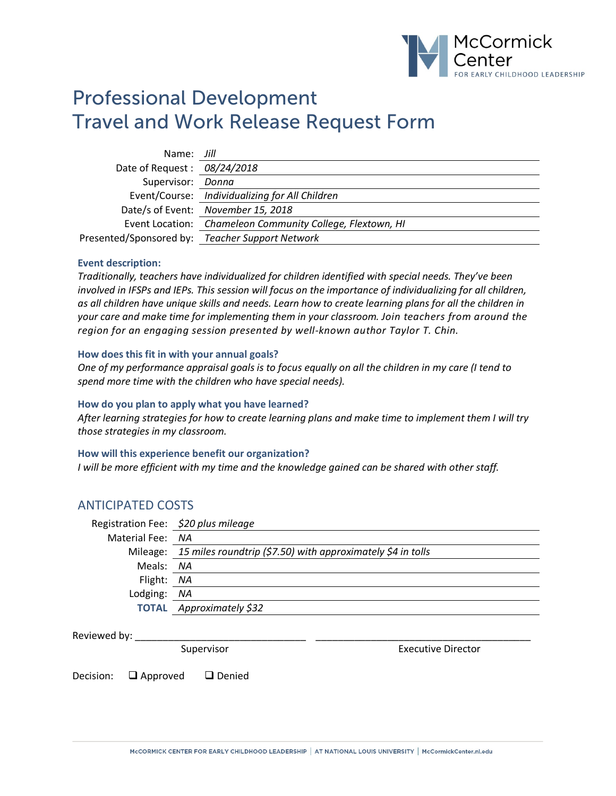

# Professional Development Travel and Work Release Request Form

| Name: Jill                   |                                                           |
|------------------------------|-----------------------------------------------------------|
| Date of Request : 08/24/2018 |                                                           |
| Supervisor: Donna            |                                                           |
|                              | Event/Course: Individualizing for All Children            |
|                              | Date/s of Event: November 15, 2018                        |
|                              | Event Location: Chameleon Community College, Flextown, HI |
|                              | Presented/Sponsored by: Teacher Support Network           |

#### **Event description:**

*Traditionally, teachers have individualized for children identified with special needs. They've been involved in IFSPs and IEPs. This session will focus on the importance of individualizing for all children, as all children have unique skills and needs. Learn how to create learning plans for all the children in your care and make time for implementing them in your classroom. Join teachers from around the region for an engaging session presented by well-known author Taylor T. Chin.*

#### **How does this fit in with your annual goals?**

*One of my performance appraisal goals is to focus equally on all the children in my care (I tend to spend more time with the children who have special needs).* 

#### **How do you plan to apply what you have learned?**

*After learning strategies for how to create learning plans and make time to implement them I will try those strategies in my classroom.* 

#### **How will this experience benefit our organization?**

*I will be more efficient with my time and the knowledge gained can be shared with other staff.*

### ANTICIPATED COSTS

|                  | Registration Fee: \$20 plus mileage                                  |
|------------------|----------------------------------------------------------------------|
| Material Fee: NA |                                                                      |
|                  | Mileage: 15 miles roundtrip (\$7.50) with approximately \$4 in tolls |
| Meals: NA        |                                                                      |
| Flight: NA       |                                                                      |
| Lodging: NA      |                                                                      |
|                  | <b>TOTAL</b> Approximately \$32                                      |
|                  |                                                                      |

#### Reviewed by:

Supervisor Executive Director

Decision:  $\Box$  Approved  $\Box$  Denied